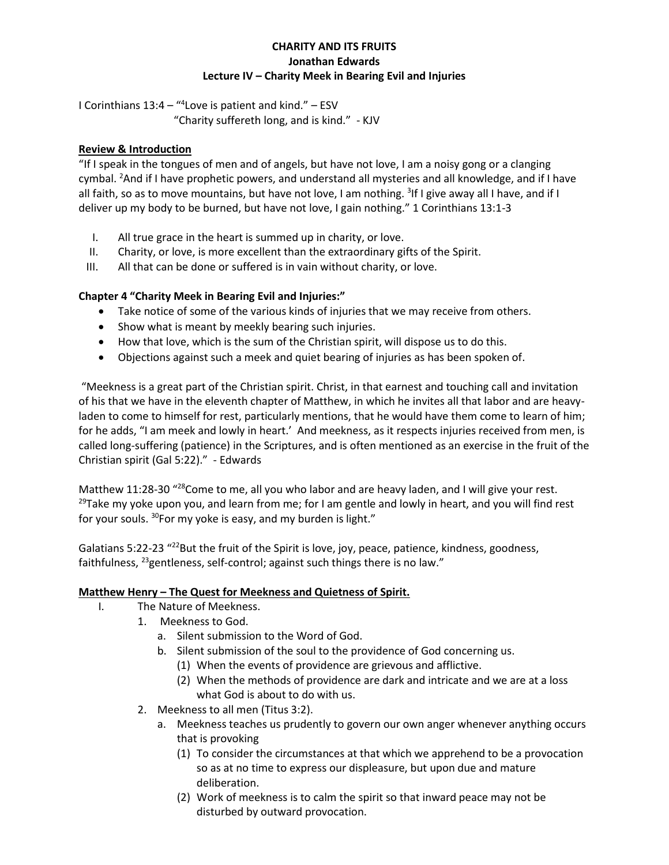# **CHARITY AND ITS FRUITS Jonathan Edwards Lecture IV – Charity Meek in Bearing Evil and Injuries**

I Corinthians 13:4 – " 4 Love is patient and kind." – ESV

"Charity suffereth long, and is kind." - KJV

# **Review & Introduction**

"If I speak in the tongues of men and of angels, but have not love, I am a noisy gong or a clanging cymbal. <sup>2</sup>And if I have prophetic powers, and understand all mysteries and all knowledge, and if I have all faith, so as to move mountains, but have not love, I am nothing. <sup>3</sup>If I give away all I have, and if I deliver up my body to be burned, but have not love, I gain nothing." 1 Corinthians 13:1-3

- I. All true grace in the heart is summed up in charity, or love.
- II. Charity, or love, is more excellent than the extraordinary gifts of the Spirit.
- III. All that can be done or suffered is in vain without charity, or love.

## **Chapter 4 "Charity Meek in Bearing Evil and Injuries:"**

- Take notice of some of the various kinds of injuries that we may receive from others.
- Show what is meant by meekly bearing such injuries.
- How that love, which is the sum of the Christian spirit, will dispose us to do this.
- Objections against such a meek and quiet bearing of injuries as has been spoken of.

"Meekness is a great part of the Christian spirit. Christ, in that earnest and touching call and invitation of his that we have in the eleventh chapter of Matthew, in which he invites all that labor and are heavyladen to come to himself for rest, particularly mentions, that he would have them come to learn of him; for he adds, "I am meek and lowly in heart.' And meekness, as it respects injuries received from men, is called long-suffering (patience) in the Scriptures, and is often mentioned as an exercise in the fruit of the Christian spirit (Gal 5:22)." - Edwards

Matthew 11:28-30 "28 Come to me, all you who labor and are heavy laden, and I will give your rest.  $29$ Take my yoke upon you, and learn from me; for I am gentle and lowly in heart, and you will find rest for your souls. <sup>30</sup>For my yoke is easy, and my burden is light."

Galatians 5:22-23 "<sup>22</sup>But the fruit of the Spirit is love, joy, peace, patience, kindness, goodness, faithfulness, <sup>23</sup>gentleness, self-control; against such things there is no law."

## **Matthew Henry – The Quest for Meekness and Quietness of Spirit.**

- I. The Nature of Meekness.
	- 1. Meekness to God.
		- a. Silent submission to the Word of God.
		- b. Silent submission of the soul to the providence of God concerning us.
			- (1) When the events of providence are grievous and afflictive.
			- (2) When the methods of providence are dark and intricate and we are at a loss what God is about to do with us.
	- 2. Meekness to all men (Titus 3:2).
		- a. Meekness teaches us prudently to govern our own anger whenever anything occurs that is provoking
			- (1) To consider the circumstances at that which we apprehend to be a provocation so as at no time to express our displeasure, but upon due and mature deliberation.
			- (2) Work of meekness is to calm the spirit so that inward peace may not be disturbed by outward provocation.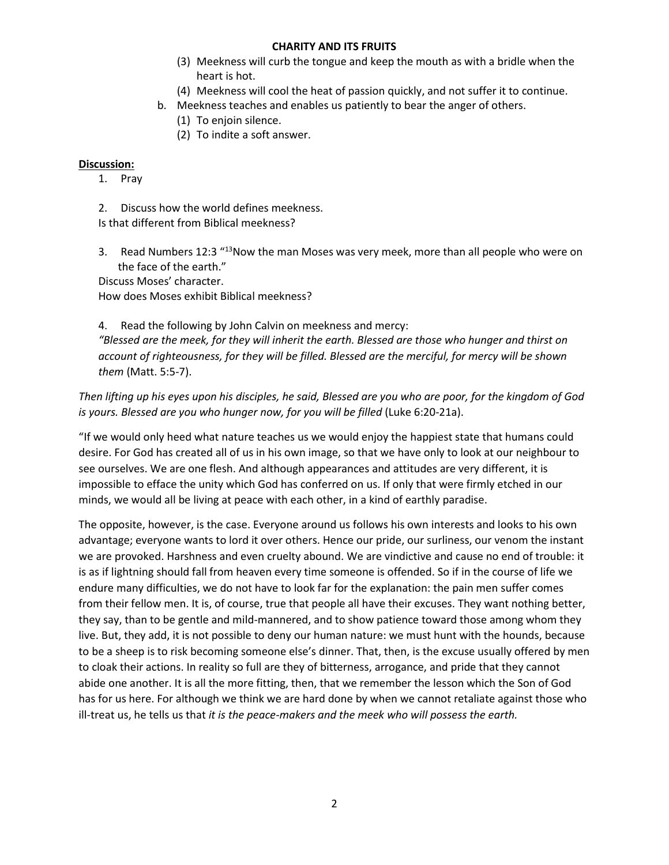#### **CHARITY AND ITS FRUITS**

- (3) Meekness will curb the tongue and keep the mouth as with a bridle when the heart is hot.
- (4) Meekness will cool the heat of passion quickly, and not suffer it to continue.
- b. Meekness teaches and enables us patiently to bear the anger of others.
	- (1) To enjoin silence.
	- (2) To indite a soft answer.

## **Discussion:**

- 1. Pray
- 2. Discuss how the world defines meekness.

Is that different from Biblical meekness?

3. Read Numbers 12:3 "13Now the man Moses was very meek, more than all people who were on the face of the earth."

Discuss Moses' character.

How does Moses exhibit Biblical meekness?

4. Read the following by John Calvin on meekness and mercy: *"Blessed are the meek, for they will inherit the earth. Blessed are those who hunger and thirst on account of righteousness, for they will be filled. Blessed are the merciful, for mercy will be shown them* (Matt. 5:5-7).

*Then lifting up his eyes upon his disciples, he said, Blessed are you who are poor, for the kingdom of God is yours. Blessed are you who hunger now, for you will be filled* (Luke 6:20-21a).

"If we would only heed what nature teaches us we would enjoy the happiest state that humans could desire. For God has created all of us in his own image, so that we have only to look at our neighbour to see ourselves. We are one flesh. And although appearances and attitudes are very different, it is impossible to efface the unity which God has conferred on us. If only that were firmly etched in our minds, we would all be living at peace with each other, in a kind of earthly paradise.

The opposite, however, is the case. Everyone around us follows his own interests and looks to his own advantage; everyone wants to lord it over others. Hence our pride, our surliness, our venom the instant we are provoked. Harshness and even cruelty abound. We are vindictive and cause no end of trouble: it is as if lightning should fall from heaven every time someone is offended. So if in the course of life we endure many difficulties, we do not have to look far for the explanation: the pain men suffer comes from their fellow men. It is, of course, true that people all have their excuses. They want nothing better, they say, than to be gentle and mild-mannered, and to show patience toward those among whom they live. But, they add, it is not possible to deny our human nature: we must hunt with the hounds, because to be a sheep is to risk becoming someone else's dinner. That, then, is the excuse usually offered by men to cloak their actions. In reality so full are they of bitterness, arrogance, and pride that they cannot abide one another. It is all the more fitting, then, that we remember the lesson which the Son of God has for us here. For although we think we are hard done by when we cannot retaliate against those who ill-treat us, he tells us that *it is the peace-makers and the meek who will possess the earth.*